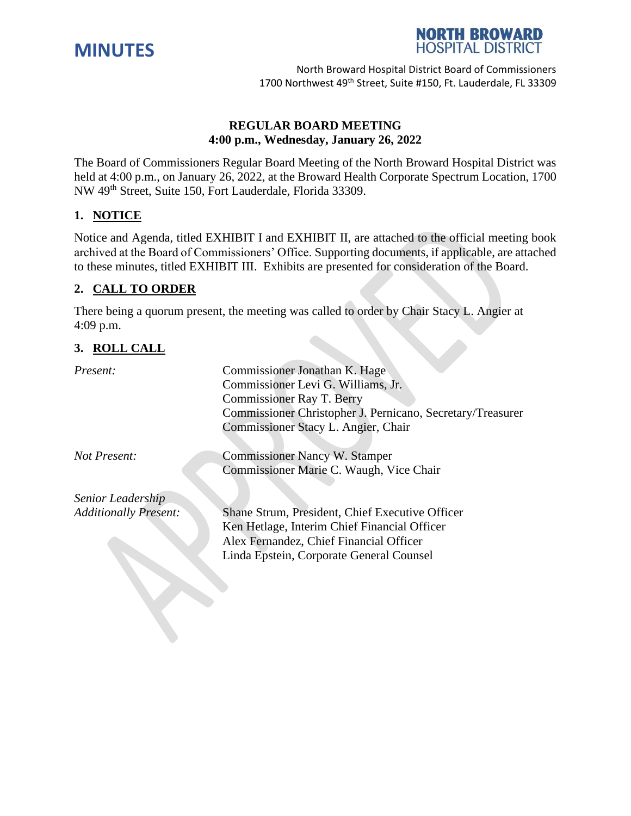



## **REGULAR BOARD MEETING 4:00 p.m., Wednesday, January 26, 2022**

The Board of Commissioners Regular Board Meeting of the North Broward Hospital District was held at 4:00 p.m., on January 26, 2022, at the Broward Health Corporate Spectrum Location, 1700 NW 49th Street, Suite 150, Fort Lauderdale, Florida 33309.

# **1. NOTICE**

Notice and Agenda, titled EXHIBIT I and EXHIBIT II, are attached to the official meeting book archived at the Board of Commissioners' Office. Supporting documents, if applicable, are attached to these minutes, titled EXHIBIT III. Exhibits are presented for consideration of the Board.

# **2. CALL TO ORDER**

There being a quorum present, the meeting was called to order by Chair Stacy L. Angier at 4:09 p.m.

# **3. ROLL CALL**

| Commissioner Jonathan K. Hage<br>Commissioner Levi G. Williams, Jr.<br><b>Commissioner Ray T. Berry</b><br>Commissioner Christopher J. Pernicano, Secretary/Treasurer<br>Commissioner Stacy L. Angier, Chair |
|--------------------------------------------------------------------------------------------------------------------------------------------------------------------------------------------------------------|
| <b>Commissioner Nancy W. Stamper</b>                                                                                                                                                                         |
| Commissioner Marie C. Waugh, Vice Chair                                                                                                                                                                      |
|                                                                                                                                                                                                              |
| Shane Strum, President, Chief Executive Officer<br>Ken Hetlage, Interim Chief Financial Officer<br>Alex Fernandez, Chief Financial Officer<br>Linda Epstein, Corporate General Counsel                       |
|                                                                                                                                                                                                              |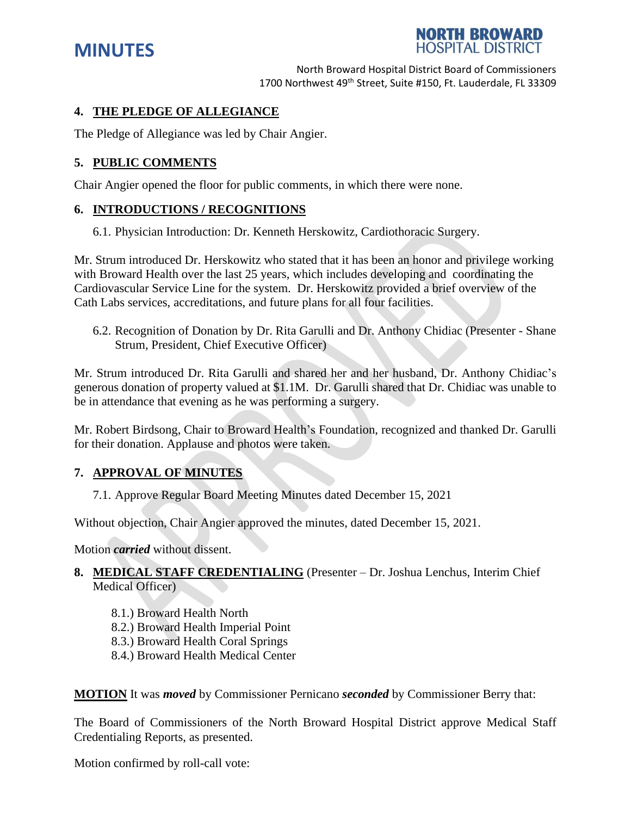



## **4. THE PLEDGE OF ALLEGIANCE**

The Pledge of Allegiance was led by Chair Angier.

## **5. PUBLIC COMMENTS**

Chair Angier opened the floor for public comments, in which there were none.

## **6. INTRODUCTIONS / RECOGNITIONS**

6.1. Physician Introduction: Dr. Kenneth Herskowitz, Cardiothoracic Surgery.

Mr. Strum introduced Dr. Herskowitz who stated that it has been an honor and privilege working with Broward Health over the last 25 years, which includes developing and coordinating the Cardiovascular Service Line for the system. Dr. Herskowitz provided a brief overview of the Cath Labs services, accreditations, and future plans for all four facilities.

6.2. Recognition of Donation by Dr. Rita Garulli and Dr. Anthony Chidiac (Presenter - Shane Strum, President, Chief Executive Officer)

Mr. Strum introduced Dr. Rita Garulli and shared her and her husband, Dr. Anthony Chidiac's generous donation of property valued at \$1.1M. Dr. Garulli shared that Dr. Chidiac was unable to be in attendance that evening as he was performing a surgery.

Mr. Robert Birdsong, Chair to Broward Health's Foundation, recognized and thanked Dr. Garulli for their donation. Applause and photos were taken.

### **7. APPROVAL OF MINUTES**

7.1. Approve Regular Board Meeting Minutes dated December 15, 2021

Without objection, Chair Angier approved the minutes, dated December 15, 2021.

Motion *carried* without dissent.

## **8. MEDICAL STAFF CREDENTIALING** (Presenter – Dr. Joshua Lenchus, Interim Chief Medical Officer)

- 8.1.) Broward Health North
- 8.2.) Broward Health Imperial Point
- 8.3.) Broward Health Coral Springs
- 8.4.) Broward Health Medical Center

**MOTION** It was *moved* by Commissioner Pernicano *seconded* by Commissioner Berry that:

The Board of Commissioners of the North Broward Hospital District approve Medical Staff Credentialing Reports, as presented.

Motion confirmed by roll-call vote: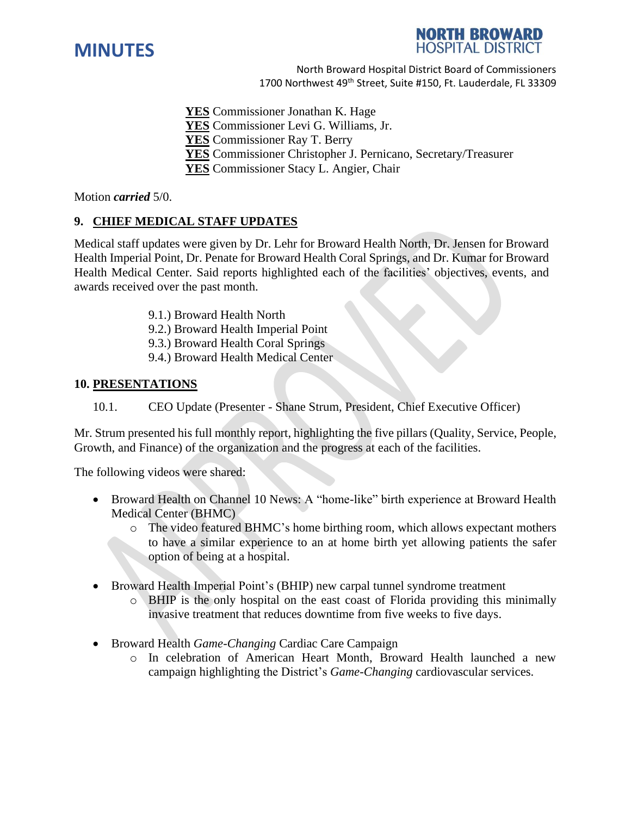



**YES** Commissioner Jonathan K. Hage **YES** Commissioner Levi G. Williams, Jr. **YES** Commissioner Ray T. Berry **YES** Commissioner Christopher J. Pernicano, Secretary/Treasurer **YES** Commissioner Stacy L. Angier, Chair

Motion *carried* 5/0.

### **9. CHIEF MEDICAL STAFF UPDATES**

Medical staff updates were given by Dr. Lehr for Broward Health North, Dr. Jensen for Broward Health Imperial Point, Dr. Penate for Broward Health Coral Springs, and Dr. Kumar for Broward Health Medical Center. Said reports highlighted each of the facilities' objectives, events, and awards received over the past month.

- 9.1.) Broward Health North
- 9.2.) Broward Health Imperial Point
- 9.3.) Broward Health Coral Springs
- 9.4.) Broward Health Medical Center

### **10. PRESENTATIONS**

10.1. CEO Update (Presenter - Shane Strum, President, Chief Executive Officer)

Mr. Strum presented his full monthly report, highlighting the five pillars (Quality, Service, People, Growth, and Finance) of the organization and the progress at each of the facilities.

The following videos were shared:

- Broward Health on Channel 10 News: A "home-like" birth experience at Broward Health Medical Center (BHMC)
	- o The video featured BHMC's home birthing room, which allows expectant mothers to have a similar experience to an at home birth yet allowing patients the safer option of being at a hospital.
- Broward Health Imperial Point's (BHIP) new carpal tunnel syndrome treatment
	- o BHIP is the only hospital on the east coast of Florida providing this minimally invasive treatment that reduces downtime from five weeks to five days.
- Broward Health *Game-Changing* Cardiac Care Campaign
	- o In celebration of American Heart Month, Broward Health launched a new campaign highlighting the District's *Game-Changing* cardiovascular services.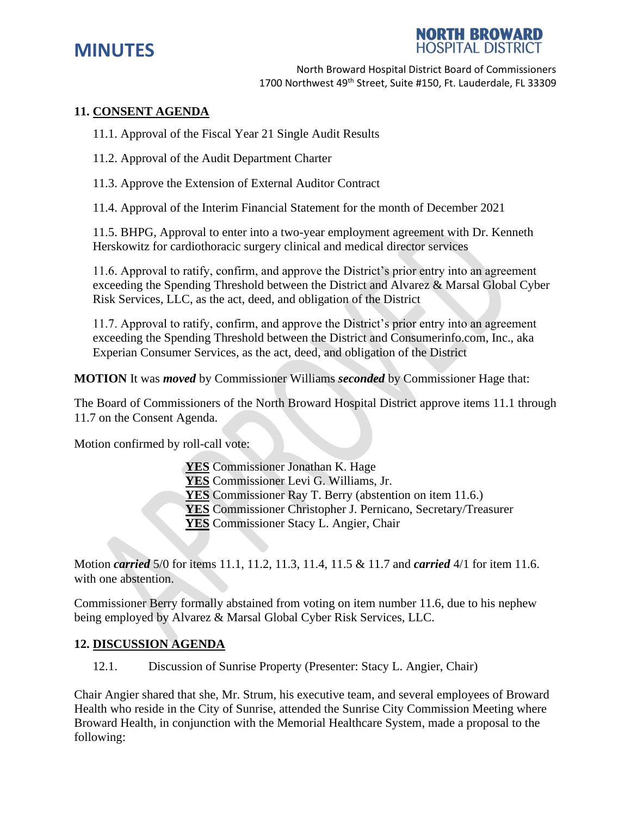

**TH BROWA HOSPITAL DISTRICT** 

North Broward Hospital District Board of Commissioners 1700 Northwest 49<sup>th</sup> Street, Suite #150, Ft. Lauderdale, FL 33309

### **11. CONSENT AGENDA**

11.1. Approval of the Fiscal Year 21 Single Audit Results

11.2. Approval of the Audit Department Charter

11.3. Approve the Extension of External Auditor Contract

11.4. Approval of the Interim Financial Statement for the month of December 2021

11.5. BHPG, Approval to enter into a two-year employment agreement with Dr. Kenneth Herskowitz for cardiothoracic surgery clinical and medical director services

11.6. Approval to ratify, confirm, and approve the District's prior entry into an agreement exceeding the Spending Threshold between the District and Alvarez & Marsal Global Cyber Risk Services, LLC, as the act, deed, and obligation of the District

11.7. Approval to ratify, confirm, and approve the District's prior entry into an agreement exceeding the Spending Threshold between the District and Consumerinfo.com, Inc., aka Experian Consumer Services, as the act, deed, and obligation of the District

**MOTION** It was *moved* by Commissioner Williams *seconded* by Commissioner Hage that:

The Board of Commissioners of the North Broward Hospital District approve items 11.1 through 11.7 on the Consent Agenda.

Motion confirmed by roll-call vote:

**YES** Commissioner Jonathan K. Hage **YES** Commissioner Levi G. Williams, Jr. **YES** Commissioner Ray T. Berry (abstention on item 11.6.) **YES** Commissioner Christopher J. Pernicano, Secretary/Treasurer **YES** Commissioner Stacy L. Angier, Chair

Motion *carried* 5/0 for items 11.1, 11.2, 11.3, 11.4, 11.5 & 11.7 and *carried* 4/1 for item 11.6. with one abstention.

Commissioner Berry formally abstained from voting on item number 11.6, due to his nephew being employed by Alvarez & Marsal Global Cyber Risk Services, LLC.

#### **12. DISCUSSION AGENDA**

12.1. Discussion of Sunrise Property (Presenter: Stacy L. Angier, Chair)

Chair Angier shared that she, Mr. Strum, his executive team, and several employees of Broward Health who reside in the City of Sunrise, attended the Sunrise City Commission Meeting where Broward Health, in conjunction with the Memorial Healthcare System, made a proposal to the following: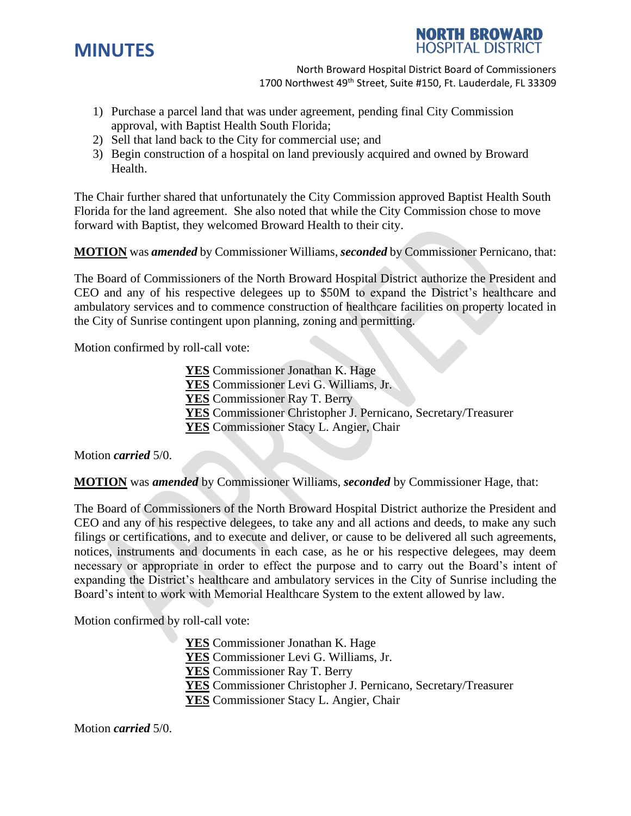

RTH BROWARD **HOSPITAL DISTRICT** 

- 1) Purchase a parcel land that was under agreement, pending final City Commission approval, with Baptist Health South Florida;
- 2) Sell that land back to the City for commercial use; and
- 3) Begin construction of a hospital on land previously acquired and owned by Broward Health.

The Chair further shared that unfortunately the City Commission approved Baptist Health South Florida for the land agreement. She also noted that while the City Commission chose to move forward with Baptist, they welcomed Broward Health to their city.

**MOTION** was *amended* by Commissioner Williams, *seconded* by Commissioner Pernicano, that:

The Board of Commissioners of the North Broward Hospital District authorize the President and CEO and any of his respective delegees up to \$50M to expand the District's healthcare and ambulatory services and to commence construction of healthcare facilities on property located in the City of Sunrise contingent upon planning, zoning and permitting.

Motion confirmed by roll-call vote:

**YES** Commissioner Jonathan K. Hage **YES** Commissioner Levi G. Williams, Jr. **YES** Commissioner Ray T. Berry **YES** Commissioner Christopher J. Pernicano, Secretary/Treasurer **YES** Commissioner Stacy L. Angier, Chair

Motion *carried* 5/0.

**MOTION** was *amended* by Commissioner Williams, *seconded* by Commissioner Hage, that:

The Board of Commissioners of the North Broward Hospital District authorize the President and CEO and any of his respective delegees, to take any and all actions and deeds, to make any such filings or certifications, and to execute and deliver, or cause to be delivered all such agreements, notices, instruments and documents in each case, as he or his respective delegees, may deem necessary or appropriate in order to effect the purpose and to carry out the Board's intent of expanding the District's healthcare and ambulatory services in the City of Sunrise including the Board's intent to work with Memorial Healthcare System to the extent allowed by law.

Motion confirmed by roll-call vote:

**YES** Commissioner Jonathan K. Hage **YES** Commissioner Levi G. Williams, Jr. **YES** Commissioner Ray T. Berry **YES** Commissioner Christopher J. Pernicano, Secretary/Treasurer **YES** Commissioner Stacy L. Angier, Chair

Motion *carried* 5/0.